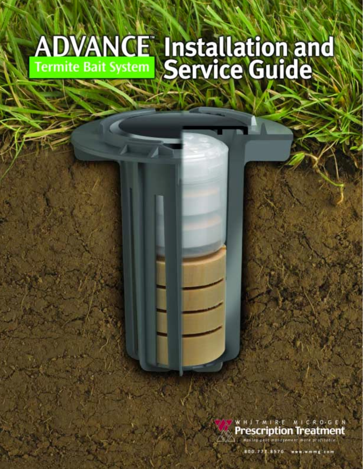# **ADVANCE Installation and**

WHITMIRE MICROGEN **Prescription Treatment** 

missement more

800.777.8570 www.wmmg.com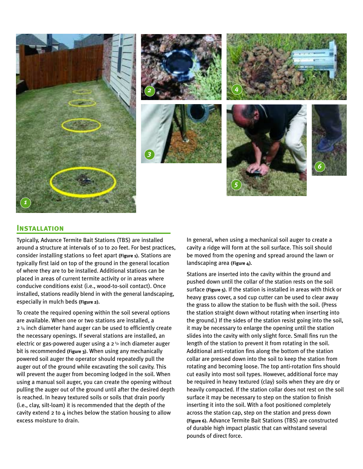









#### **Installation**

Typically, Advance Termite Bait Stations (TBS) are installed around a structure at intervals of 10 to 20 feet. For best practices, consider installing stations 10 feet apart **(Figure 1)**. Stations are typically first laid on top of the ground in the general location of where they are to be installed. Additional stations can be placed in areas of current termite activity or in areas where conducive conditions exist (i.e., wood-to-soil contact). Once installed, stations readily blend in with the general landscaping, especially in mulch beds **(Figure 2)**.

To create the required opening within the soil several options are available. When one or two stations are installed, a 2 3/4 inch diameter hand auger can be used to efficiently create the necessary openings. If several stations are installed, an electric or gas-powered auger using a  $2<sup>1</sup>$  inch diameter auger bit is recommended **(Figure 3)**. When using any mechanically powered soil auger the operator should repeatedly pull the auger out of the ground while excavating the soil cavity. This will prevent the auger from becoming lodged in the soil. When using a manual soil auger, you can create the opening without pulling the auger out of the ground until after the desired depth is reached. In heavy textured soils or soils that drain poorly (i.e., clay, silt-loam) it is recommended that the depth of the cavity extend 2 to 4 inches below the station housing to allow excess moisture to drain.

In general, when using a mechanical soil auger to create a cavity a ridge will form at the soil surface. This soil should be moved from the opening and spread around the lawn or landscaping area **(Figure 4)**.

Stations are inserted into the cavity within the ground and pushed down until the collar of the station rests on the soil surface **(Figure 5)**. If the station is installed in areas with thick or heavy grass cover, a sod cup cutter can be used to clear away the grass to allow the station to be flush with the soil. (Press the station straight down without rotating when inserting into the ground.) If the sides of the station resist going into the soil, it may be necessary to enlarge the opening until the station slides into the cavity with only slight force. Small fins run the length of the station to prevent it from rotating in the soil. Additional anti-rotation fins along the bottom of the station collar are pressed down into the soil to keep the station from rotating and becoming loose. The top anti-rotation fins should cut easily into most soil types. However, additional force may be required in heavy textured (clay) soils when they are dry or heavily compacted. If the station collar does not rest on the soil surface it may be necessary to step on the station to finish inserting it into the soil. With a foot positioned completely across the station cap, step on the station and press down **(Figure 6)**. Advance Termite Bait Stations (TBS) are constructed of durable high impact plastic that can withstand several pounds of direct force.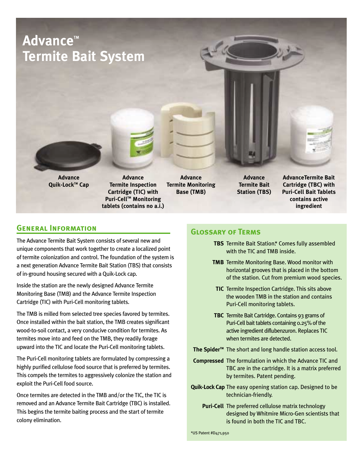# **Advance™ Termite Bait System**





**Advance Quik-LockTM Cap**

**Advance Termite Inspection Cartridge (TIC) with Puri-Cell™ Monitoring tablets (contains no a.i.)**

**Advance Termite Monitoring Base (TMB)**

**Advance Termite Bait Station (TBS)**

**AdvanceTermite Bait Cartridge (TBC) with Puri-Cell Bait Tablets contains active ingredient**

#### **General Information**

The Advance Termite Bait System consists of several new and unique components that work together to create a localized point of termite colonization and control. The foundation of the system is a next generation Advance Termite Bait Station (TBS) that consists of in-ground housing secured with a Quik-Lock cap.

Inside the station are the newly designed Advance Termite Monitoring Base (TMB) and the Advance Termite Inspection Cartridge (TIC) with Puri-Cell monitoring tablets.

The TMB is milled from selected tree species favored by termites. Once installed within the bait station, the TMB creates significant wood-to-soil contact, a very conducive condition for termites. As termites move into and feed on the TMB, they readily forage upward into the TIC and locate the Puri-Cell monitoring tablets.

The Puri-Cell monitoring tablets are formulated by compressing a highly purified cellulose food source that is preferred by termites. This compels the termites to aggressively colonize the station and exploit the Puri-Cell food source.

Once termites are detected in the TMB and/or the TIC, the TIC is removed and an Advance Termite Bait Cartridge (TBC) is installed. This begins the termite baiting process and the start of termite colony elimination.

#### **Glossary of Terms**

- **TBS** Termite Bait Station.\* Comes fully assembled with the TIC and TMB inside.
- **TMB** Termite Monitoring Base. Wood monitor with horizontal grooves that is placed in the bottom of the station. Cut from premium wood species.
- **TIC** Termite Inspection Cartridge. This sits above the wooden TMB in the station and contains Puri-Cell monitoring tablets.
- **TBC** Termite Bait Cartridge. Contains 93 grams of Puri-Cell bait tablets containing 0.25% of the active ingredient diflubenzuron. Replaces TIC when termites are detected.
- The Spider<sup>™</sup> The short and long handle station access tool.
- **Compressed** The formulation in which the Advance TIC and TBC are in the cartridge. It is a matrix preferred by termites. Patent pending.
- **Quik-Lock Cap** The easy opening station cap. Designed to be technician-friendly.
	- **Puri-Cell** The preferred cellulose matrix technology designed by Whitmire Micro-Gen scientists that is found in both the TIC and TBC.

\*US Patent #D471,950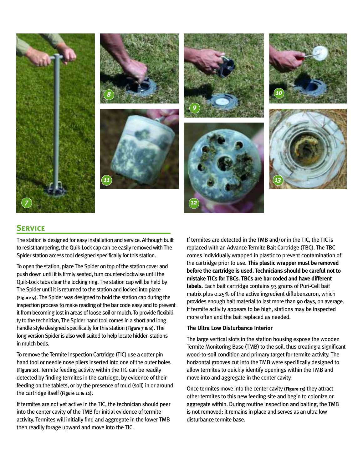

#### **Service**

The station is designed for easy installation and service. Although built to resist tampering, the Quik-Lock cap can be easily removed with The Spider station access tool designed specifically for this station.

To open the station, place The Spider on top of the station cover and push down until it is firmly seated, turn counter-clockwise until the Quik-Lock tabs clear the locking ring. The station cap will be held by The Spider until it is returned to the station and locked into place **(Figure 9)**. The Spider was designed to hold the station cap during the inspection process to make reading of the bar code easy and to prevent it from becoming lost in areas of loose soil or mulch. To provide flexibility to the technician, The Spider hand tool comes in a short and long handle style designed specifically for this station **(Figure 7 & 8)**. The long version Spider is also well suited to help locate hidden stations in mulch beds.

To remove the Termite Inspection Cartridge (TIC) use a cotter pin hand tool or needle nose pliers inserted into one of the outer holes **(Figure 10)**. Termite feeding activity within the TIC can be readily detected by finding termites in the cartridge, by evidence of their feeding on the tablets, or by the presence of mud (soil) in or around the cartridge itself **(Figure 11 & 12)**.

If termites are not yet active in the TIC, the technician should peer into the center cavity of the TMB for initial evidence of termite activity. Termites will initially find and aggregate in the lower TMB then readily forage upward and move into the TIC.

If termites are detected in the TMB and/or in the TIC, the TIC is replaced with an Advance Termite Bait Cartridge (TBC). The TBC comes individually wrapped in plastic to prevent contamination of the cartridge prior to use. **This plastic wrapper must be removed before the cartridge is used. Technicians should be careful not to mistake TICs for TBCs. TBCs are bar coded and have different labels.** Each bait cartridge contains 93 grams of Puri-Cell bait matrix plus 0.25% of the active ingredient diflubenzuron, which provides enough bait material to last more than 90 days, on average. If termite activity appears to be high, stations may be inspected more often and the bait replaced as needed.

#### The Ultra Low Disturbance Interior

The large vertical slots in the station housing expose the wooden Termite Monitoring Base (TMB) to the soil, thus creating a significant wood-to-soil condition and primary target for termite activity. The horizontal grooves cut into the TMB were specifically designed to allow termites to quickly identify openings within the TMB and move into and aggregate in the center cavity.

Once termites move into the center cavity **(Figure 13)** they attract other termites to this new feeding site and begin to colonize or aggregate within. During routine inspection and baiting, the TMB is not removed; it remains in place and serves as an ultra low disturbance termite base.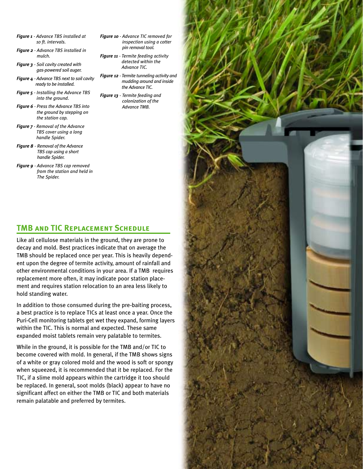- *Figure 1 Advance TBS installed at 10 ft. intervals.*
- *Figure 2 Advance TBS installed in mulch.*
- *Figure 3 Soil cavity created with gas-powered soil auger.*
- *Figure 4 Advance TBS next to soil cavity ready to be installed.*
- *Figure 5 Installing the Advance TBS into the ground.*
- *Figure 6 Press the Advance TBS into the ground by stepping on the station cap.*
- *Figure 7 Removal of the Advance TBS cover using a long handle Spider.*
- *Figure 8 Removal of the Advance TBS cap using a short handle Spider.*
- *Figure 9 Advance TBS cap removed from the station and held in The Spider.*
- *Figure 10 Advance TIC removed for inspection using a cotter pin removal tool.*
- *Figure 11 Termite feeding activity detected within the Advance TIC.*
- *Figure 12 Termite tunneling activity and mudding around and inside the Advance TIC.*
- *Figure 13 Termite feeding and colonization of the Advance TMB.*

#### **TMB and TIC Replacement Schedule**

Like all cellulose materials in the ground, they are prone to decay and mold. Best practices indicate that on average the TMB should be replaced once per year. This is heavily dependent upon the degree of termite activity, amount of rainfall and other environmental conditions in your area. If a TMB requires replacement more often, it may indicate poor station placement and requires station relocation to an area less likely to hold standing water.

In addition to those consumed during the pre-baiting process, a best practice is to replace TICs at least once a year. Once the Puri-Cell monitoring tablets get wet they expand, forming layers within the TIC. This is normal and expected. These same expanded moist tablets remain very palatable to termites.

While in the ground, it is possible for the TMB and/or TIC to become covered with mold. In general, if the TMB shows signs of a white or gray colored mold and the wood is soft or spongy when squeezed, it is recommended that it be replaced. For the TIC, if a slime mold appears within the cartridge it too should be replaced. In general, soot molds (black) appear to have no significant affect on either the TMB or TIC and both materials remain palatable and preferred by termites.